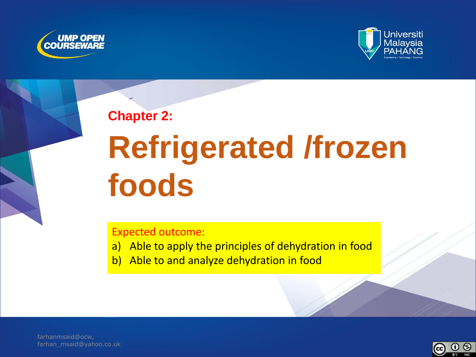



**Chapter 2:**

# **Refrigerated /frozen foods**

Expected outcome:

- a) Able to apply the principles of dehydration in food
- b) Able to and analyze dehydration in food

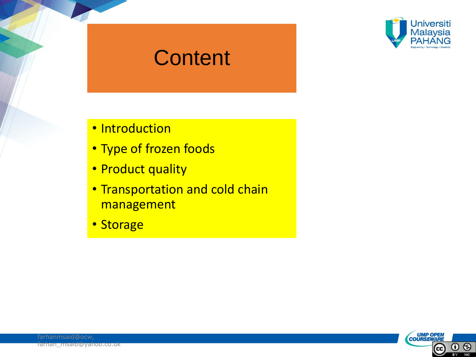

#### **Content**

- Introduction
- Type of frozen foods
- Product quality
- Transportation and cold chain management
- Storage

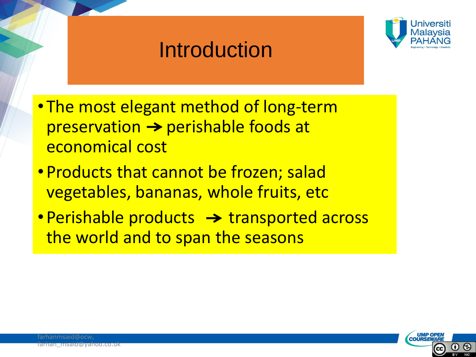## **Introduction**



- The most elegant method of long-term  $preservation \rightarrow perishable foods at$ economical cost
- Products that cannot be frozen; salad vegetables, bananas, whole fruits, etc
- Perishable products  $\rightarrow$  transported across the world and to span the seasons

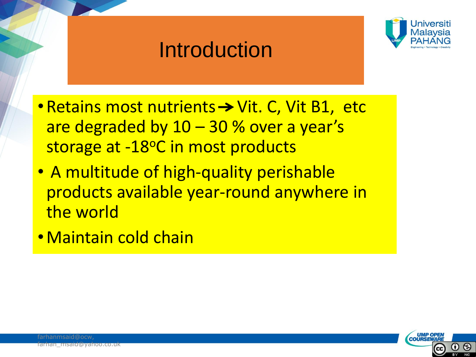## Introduction



- Retains most nutrients  $\rightarrow$  Vit. C, Vit B1, etc are degraded by 10 – 30 % over a year's storage at -18°C in most products
- A multitude of high-quality perishable products available year-round anywhere in the world
- •Maintain cold chain

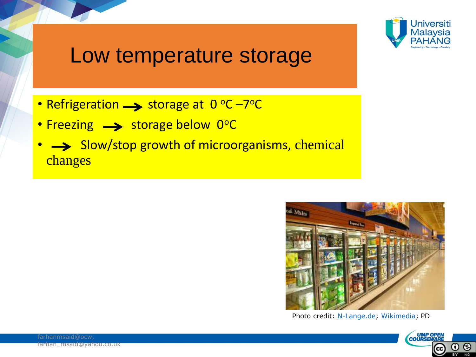

#### Low temperature storage

- Refrigeration  $\longrightarrow$  storage at 0 °C –7°C
- Freezing  $\longrightarrow$  storage below 0°C
- Slow/stop growth of microorganisms, chemical changes



Photo credit: [N-Lange.de](https://commons.wikimedia.org/wiki/User:N-Lange.de); [Wikimedia;](https://upload.wikimedia.org/wikipedia/commons/8/83/Kuehlregal_USA.jpg) PD

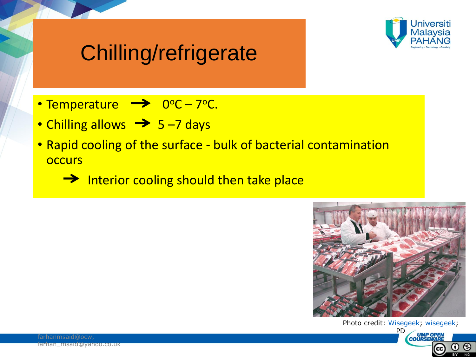

## Chilling/refrigerate

- Temperature  $\rightarrow 0^{\circ}C 7^{\circ}C$ .
- Chilling allows  $\rightarrow$  5-7 days
- Rapid cooling of the surface bulk of bacterial contamination **occurs**

 $\rightarrow$  Interior cooling should then take place



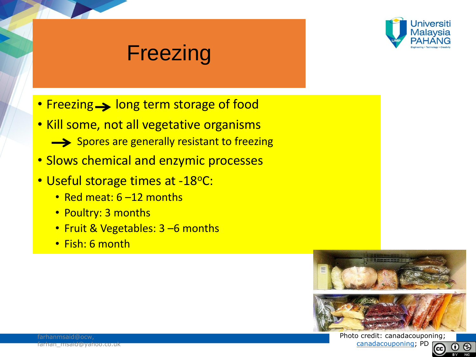

### **Freezing**

- Freezing > long term storage of food
- Kill some, not all vegetative organisms
	- Spores are generally resistant to freezing
- Slows chemical and enzymic processes
- Useful storage times at -18°C:
	- Red meat: 6-12 months
	- Poultry: 3 months
	- Fruit & Vegetables: 3 –6 months
	- Fish: 6 month



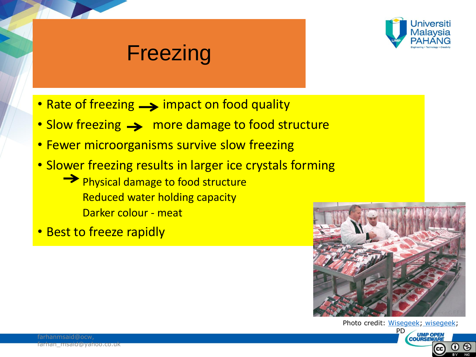

#### Freezing

- Rate of freezing  $\longrightarrow$  impact on food quality
- Slow freezing  $\rightarrow$  more damage to food structure
- Fewer microorganisms survive slow freezing
- Slower freezing results in larger ice crystals forming

**Physical damage to food structure**  Reduced water holding capacity Darker colour - meat

• Best to freeze rapidly



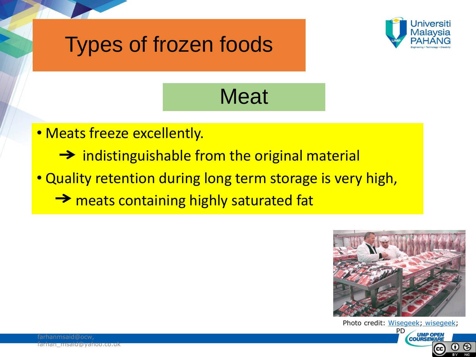



## **Meat**

- Meats freeze excellently.
	- $\rightarrow$  indistinguishable from the original material
- Quality retention during long term storage is very high,
	- → meats containing highly saturated fat



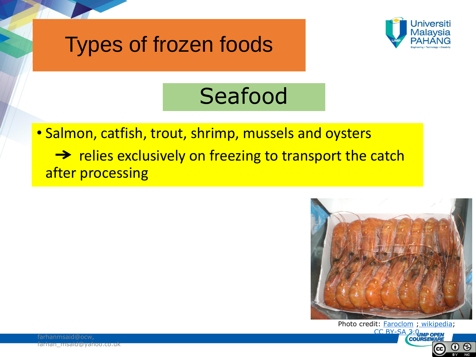



## Seafood

• Salmon, catfish, trout, shrimp, mussels and oysters  $\rightarrow$  relies exclusively on freezing to transport the catch after processing



Photo credit: **[Faroclom](https://commons.wikimedia.org/w/index.php?title=User:Faroclom&action=edit&redlink=1)** ; [wikipedia](https://en.wikipedia.org/wiki/Shrimp_(food)); [CC BY-SA 3.0](http://creativecommons.org/licenses/by-sa/3.0) UMP OPEN 0 O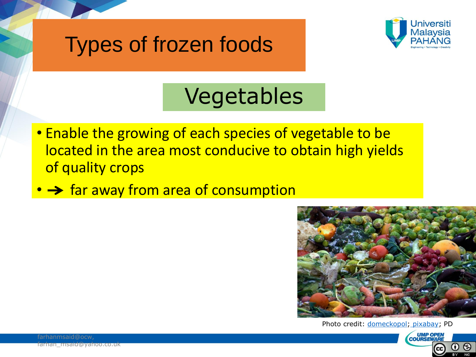## Types of frozen foods



## Vegetables

- Enable the growing of each species of vegetable to be located in the area most conducive to obtain high yields of quality crops
- $\rightarrow$  far away from area of consumption



Photo credit: [domeckopol](https://pixabay.com/en/users/domeckopol-610494/)[;](https://en.wikipedia.org/wiki/Sorbitol) [pixabay](https://pixabay.com/en/vegetables-corrupted-frozen-657969/); PD

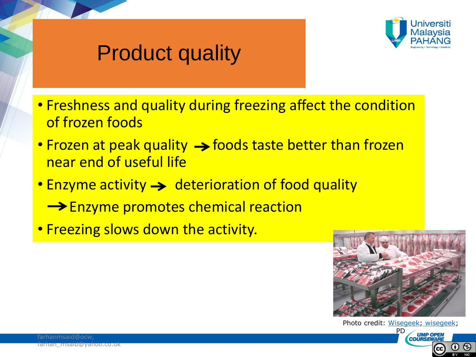

## Product quality

- Freshness and quality during freezing affect the condition of frozen foods
- Frozen at peak quality  $\rightarrow$  foods taste better than frozen near end of useful life
- Enzyme activity  $\rightarrow$  deterioration of food quality
	- **Enzyme promotes chemical reaction**
- Freezing slows down the activity.



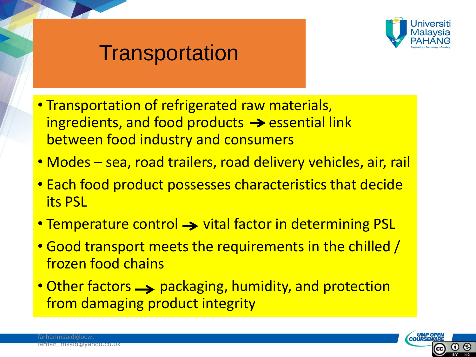

#### **Transportation**

- Transportation of refrigerated raw materials, ingredients, and food products  $\rightarrow$  essential link between food industry and consumers
- Modes sea, road trailers, road delivery vehicles, air, rail
- Each food product possesses characteristics that decide its PSL
- Temperature control  $\rightarrow$  vital factor in determining PSL
- Good transport meets the requirements in the chilled / frozen food chains
- Other factors  $\rightarrow$  packaging, humidity, and protection from damaging product integrity

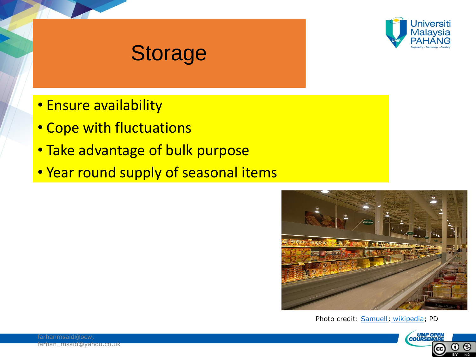

#### Storage

- Ensure availability
- Cope with fluctuations
- Take advantage of bulk purpose
- Year round supply of seasonal items



Photo credit: [Samuell](https://commons.wikimedia.org/wiki/User:Samuell); [wikipedia](https://en.wikipedia.org/wiki/Frozen_food); PD

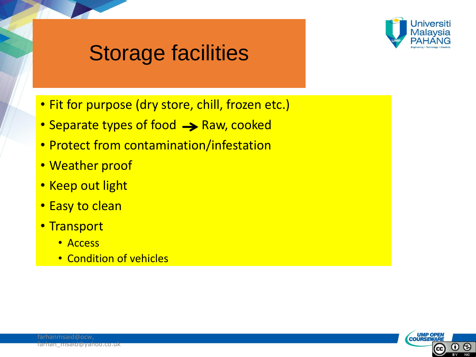

### Storage facilities

- Fit for purpose (dry store, chill, frozen etc.)
- Separate types of food  $\rightarrow$  Raw, cooked
- Protect from contamination/infestation
- Weather proof
- Keep out light
- Easy to clean
- Transport
	- Access
	- Condition of vehicles